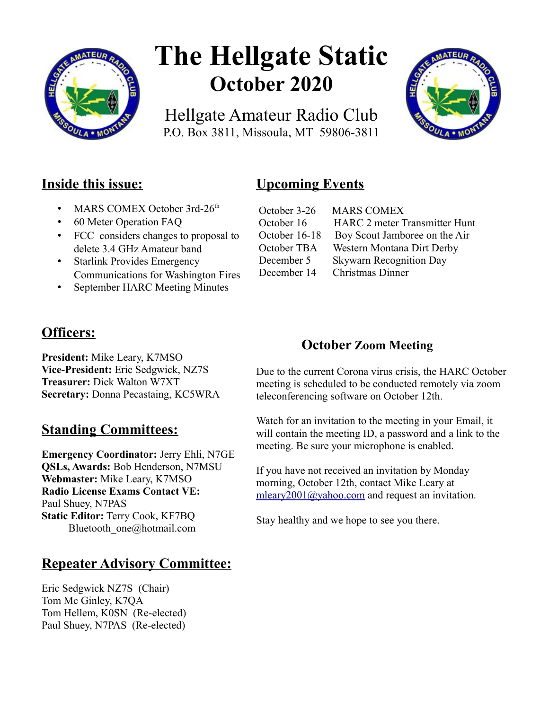

# **The Hellgate Static October 2020**

Hellgate Amateur Radio Club P.O. Box 3811, Missoula, MT 59806-3811



## **Inside this issue:**

- MARS COMEX October 3rd-26<sup>th</sup>
- 60 Meter Operation FAQ
- FCC considers changes to proposal to delete 3.4 GHz Amateur band
- Starlink Provides Emergency Communications for Washington Fires
- September HARC Meeting Minutes

# **Officers:**

**President:** Mike Leary, K7MSO **Vice-President:** Eric Sedgwick, NZ7S **Treasurer:** Dick Walton W7XT **Secretary:** Donna Pecastaing, KC5WRA

# **Standing Committees:**

**Emergency Coordinator:** Jerry Ehli, N7GE **QSLs, Awards:** Bob Henderson, N7MSU **Webmaster:** Mike Leary, K7MSO **Radio License Exams Contact VE:** Paul Shuey, N7PAS **Static Editor:** Terry Cook, KF7BQ Bluetooth\_one@hotmail.com

# **Repeater Advisory Committee:**

Eric Sedgwick NZ7S (Chair) Tom Mc Ginley, K7QA Tom Hellem, K0SN (Re-elected) Paul Shuey, N7PAS (Re-elected)

# **Upcoming Events**

| October 3-26  | <b>MARS COMEX</b>                    |
|---------------|--------------------------------------|
| October 16    | <b>HARC 2 meter Transmitter Hunt</b> |
| October 16-18 | Boy Scout Jamboree on the Air        |
| October TBA   | Western Montana Dirt Derby           |
| December 5    | <b>Skywarn Recognition Day</b>       |
| December 14   | Christmas Dinner                     |
|               |                                      |

### **October Zoom Meeting**

Due to the current Corona virus crisis, the HARC October meeting is scheduled to be conducted remotely via zoom teleconferencing software on October 12th.

Watch for an invitation to the meeting in your Email, it will contain the meeting ID, a password and a link to the meeting. Be sure your microphone is enabled.

If you have not received an invitation by Monday morning, October 12th, contact Mike Leary at [mleary2001@yahoo.com](mailto:mleary2001@yahoo.com) and request an invitation.

Stay healthy and we hope to see you there.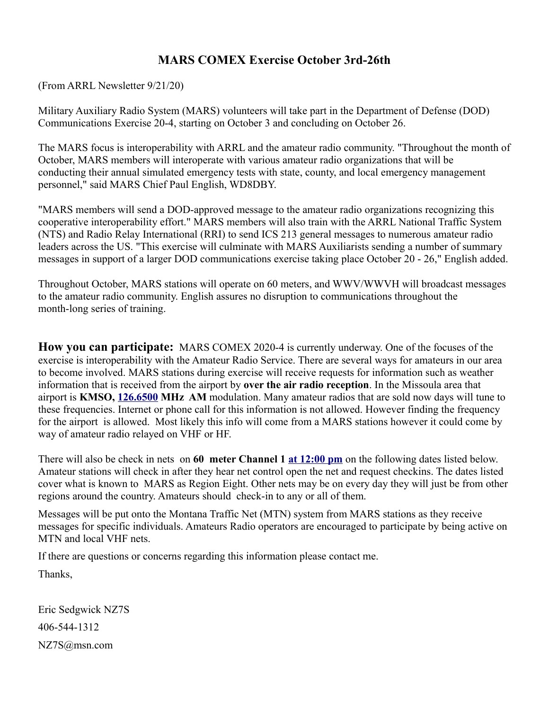### **MARS COMEX Exercise October 3rd-26th**

(From ARRL Newsletter 9/21/20)

Military Auxiliary Radio System (MARS) volunteers will take part in the Department of Defense (DOD) Communications Exercise 20-4, starting on October 3 and concluding on October 26.

The MARS focus is interoperability with ARRL and the amateur radio community. "Throughout the month of October, MARS members will interoperate with various amateur radio organizations that will be conducting their annual simulated emergency tests with state, county, and local emergency management personnel," said MARS Chief Paul English, WD8DBY.

"MARS members will send a DOD-approved message to the amateur radio organizations recognizing this cooperative interoperability effort." MARS members will also train with the ARRL National Traffic System (NTS) and Radio Relay International (RRI) to send ICS 213 general messages to numerous amateur radio leaders across the US. "This exercise will culminate with MARS Auxiliarists sending a number of summary messages in support of a larger DOD communications exercise taking place October 20 - 26," English added.

Throughout October, MARS stations will operate on 60 meters, and WWV/WWVH will broadcast messages to the amateur radio community. English assures no disruption to communications throughout the month-long series of training.

**How you can participate:** MARS COMEX 2020-4 is currently underway. One of the focuses of the exercise is interoperability with the Amateur Radio Service. There are several ways for amateurs in our area to become involved. MARS stations during exercise will receive requests for information such as weather information that is received from the airport by **over the air radio reception**. In the Missoula area that airport is **KMSO, [126.6500](tel:126.6500) MHz AM** modulation. Many amateur radios that are sold now days will tune to these frequencies. Internet or phone call for this information is not allowed. However finding the frequency for the airport is allowed. Most likely this info will come from a MARS stations however it could come by way of amateur radio relayed on VHF or HF.

There will also be check in nets on **60 meter Channel 1 [at 12:00 pm](x-apple-data-detectors://1)** on the following dates listed below. Amateur stations will check in after they hear net control open the net and request checkins. The dates listed cover what is known to MARS as Region Eight. Other nets may be on every day they will just be from other regions around the country. Amateurs should check-in to any or all of them.

Messages will be put onto the Montana Traffic Net (MTN) system from MARS stations as they receive messages for specific individuals. Amateurs Radio operators are encouraged to participate by being active on MTN and local VHF nets.

If there are questions or concerns regarding this information please contact me.

Thanks,

Eric Sedgwick NZ7S 406-544-1312 NZ7S@msn.com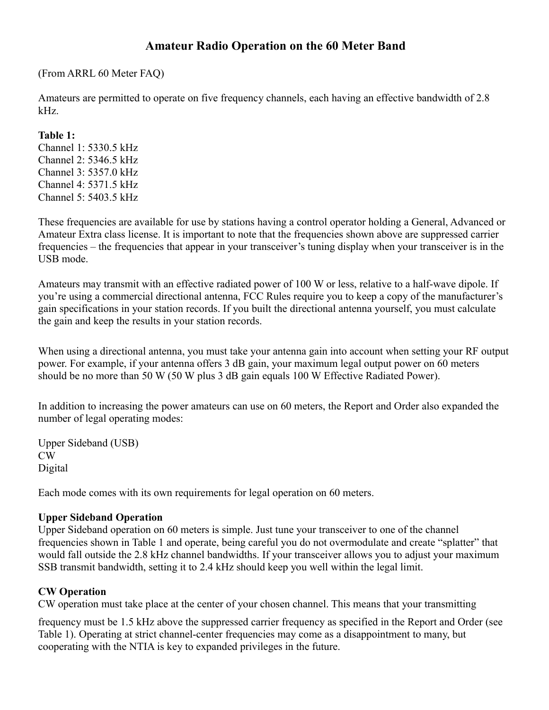### **Amateur Radio Operation on the 60 Meter Band**

(From ARRL 60 Meter FAQ)

Amateurs are permitted to operate on five frequency channels, each having an effective bandwidth of 2.8 kHz.

#### **Table 1:**

Channel 1: 5330.5 kHz Channel 2: 5346.5 kHz Channel 3: 5357.0 kHz Channel 4: 5371.5 kHz Channel 5: 5403.5 kHz

These frequencies are available for use by stations having a control operator holding a General, Advanced or Amateur Extra class license. It is important to note that the frequencies shown above are suppressed carrier frequencies – the frequencies that appear in your transceiver's tuning display when your transceiver is in the USB mode.

Amateurs may transmit with an effective radiated power of 100 W or less, relative to a half-wave dipole. If you're using a commercial directional antenna, FCC Rules require you to keep a copy of the manufacturer's gain specifications in your station records. If you built the directional antenna yourself, you must calculate the gain and keep the results in your station records.

When using a directional antenna, you must take your antenna gain into account when setting your RF output power. For example, if your antenna offers 3 dB gain, your maximum legal output power on 60 meters should be no more than 50 W (50 W plus 3 dB gain equals 100 W Effective Radiated Power).

In addition to increasing the power amateurs can use on 60 meters, the Report and Order also expanded the number of legal operating modes:

Upper Sideband (USB) CW Digital

Each mode comes with its own requirements for legal operation on 60 meters.

#### **Upper Sideband Operation**

Upper Sideband operation on 60 meters is simple. Just tune your transceiver to one of the channel frequencies shown in Table 1 and operate, being careful you do not overmodulate and create "splatter" that would fall outside the 2.8 kHz channel bandwidths. If your transceiver allows you to adjust your maximum SSB transmit bandwidth, setting it to 2.4 kHz should keep you well within the legal limit.

#### **CW Operation**

CW operation must take place at the center of your chosen channel. This means that your transmitting

frequency must be 1.5 kHz above the suppressed carrier frequency as specified in the Report and Order (see Table 1). Operating at strict channel-center frequencies may come as a disappointment to many, but cooperating with the NTIA is key to expanded privileges in the future.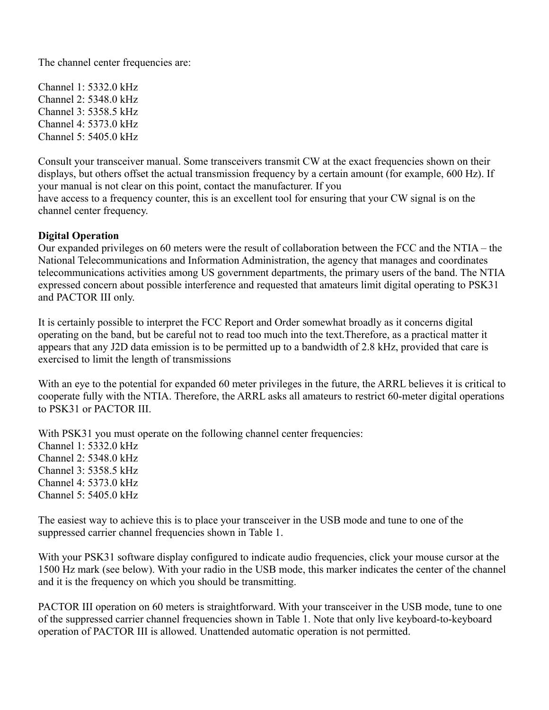The channel center frequencies are:

Channel 1: 5332.0 kHz Channel 2: 5348.0 kHz Channel 3: 5358.5 kHz Channel 4: 5373.0 kHz Channel 5: 5405.0 kHz

Consult your transceiver manual. Some transceivers transmit CW at the exact frequencies shown on their displays, but others offset the actual transmission frequency by a certain amount (for example, 600 Hz). If your manual is not clear on this point, contact the manufacturer. If you have access to a frequency counter, this is an excellent tool for ensuring that your CW signal is on the channel center frequency.

#### **Digital Operation**

Our expanded privileges on 60 meters were the result of collaboration between the FCC and the NTIA – the National Telecommunications and Information Administration, the agency that manages and coordinates telecommunications activities among US government departments, the primary users of the band. The NTIA expressed concern about possible interference and requested that amateurs limit digital operating to PSK31 and PACTOR III only.

It is certainly possible to interpret the FCC Report and Order somewhat broadly as it concerns digital operating on the band, but be careful not to read too much into the text.Therefore, as a practical matter it appears that any J2D data emission is to be permitted up to a bandwidth of 2.8 kHz, provided that care is exercised to limit the length of transmissions

With an eye to the potential for expanded 60 meter privileges in the future, the ARRL believes it is critical to cooperate fully with the NTIA. Therefore, the ARRL asks all amateurs to restrict 60-meter digital operations to PSK31 or PACTOR III.

With PSK31 you must operate on the following channel center frequencies:

Channel 1: 5332.0 kHz Channel 2: 5348.0 kHz Channel 3: 5358.5 kHz Channel 4: 5373.0 kHz Channel 5: 5405.0 kHz

The easiest way to achieve this is to place your transceiver in the USB mode and tune to one of the suppressed carrier channel frequencies shown in Table 1.

With your PSK31 software display configured to indicate audio frequencies, click your mouse cursor at the 1500 Hz mark (see below). With your radio in the USB mode, this marker indicates the center of the channel and it is the frequency on which you should be transmitting.

PACTOR III operation on 60 meters is straightforward. With your transceiver in the USB mode, tune to one of the suppressed carrier channel frequencies shown in Table 1. Note that only live keyboard-to-keyboard operation of PACTOR III is allowed. Unattended automatic operation is not permitted.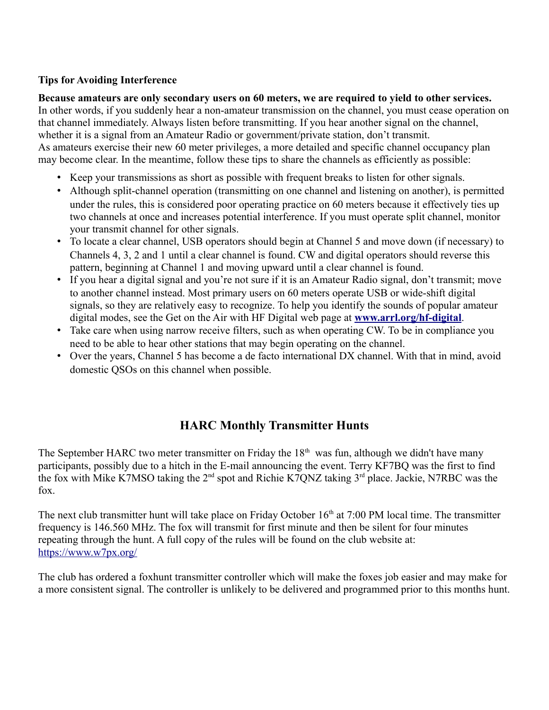#### **Tips for Avoiding Interference**

**Because amateurs are only secondary users on 60 meters, we are required to yield to other services.**  In other words, if you suddenly hear a non-amateur transmission on the channel, you must cease operation on that channel immediately. Always listen before transmitting. If you hear another signal on the channel, whether it is a signal from an Amateur Radio or government/private station, don't transmit. As amateurs exercise their new 60 meter privileges, a more detailed and specific channel occupancy plan may become clear. In the meantime, follow these tips to share the channels as efficiently as possible:

- Keep your transmissions as short as possible with frequent breaks to listen for other signals.
- Although split-channel operation (transmitting on one channel and listening on another), is permitted under the rules, this is considered poor operating practice on 60 meters because it effectively ties up two channels at once and increases potential interference. If you must operate split channel, monitor your transmit channel for other signals.
- To locate a clear channel, USB operators should begin at Channel 5 and move down (if necessary) to Channels 4, 3, 2 and 1 until a clear channel is found. CW and digital operators should reverse this pattern, beginning at Channel 1 and moving upward until a clear channel is found.
- If you hear a digital signal and you're not sure if it is an Amateur Radio signal, don't transmit; move to another channel instead. Most primary users on 60 meters operate USB or wide-shift digital signals, so they are relatively easy to recognize. To help you identify the sounds of popular amateur digital modes, see the Get on the Air with HF Digital web page at **[www.arrl.org/hf-digital](http://www.arrl.org/hf-digital)**.
- Take care when using narrow receive filters, such as when operating CW. To be in compliance you need to be able to hear other stations that may begin operating on the channel.
- Over the years, Channel 5 has become a de facto international DX channel. With that in mind, avoid domestic QSOs on this channel when possible.

### **HARC Monthly Transmitter Hunts**

The September HARC two meter transmitter on Friday the  $18<sup>th</sup>$  was fun, although we didn't have many participants, possibly due to a hitch in the E-mail announcing the event. Terry KF7BQ was the first to find the fox with Mike K7MSO taking the  $2<sup>nd</sup>$  spot and Richie K7QNZ taking  $3<sup>rd</sup>$  place. Jackie, N7RBC was the fox.

The next club transmitter hunt will take place on Friday October  $16<sup>th</sup>$  at 7:00 PM local time. The transmitter frequency is 146.560 MHz. The fox will transmit for first minute and then be silent for four minutes repeating through the hunt. A full copy of the rules will be found on the club website at: <https://www.w7px.org/>

The club has ordered a foxhunt transmitter controller which will make the foxes job easier and may make for a more consistent signal. The controller is unlikely to be delivered and programmed prior to this months hunt.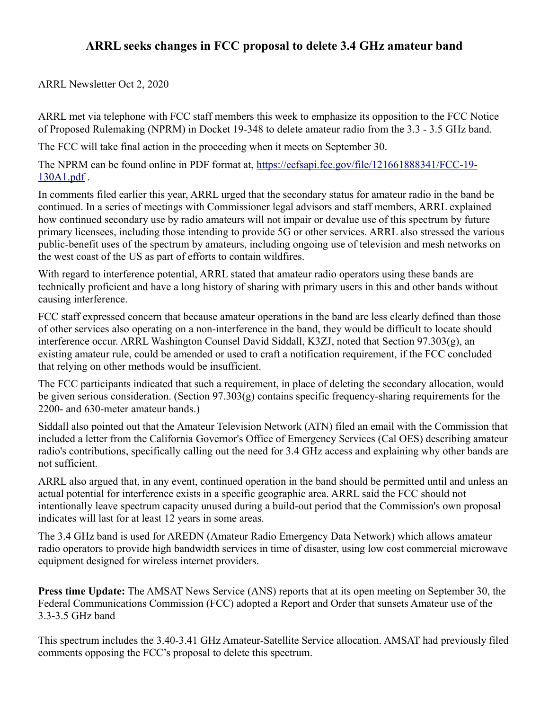### **ARRL seeks changes in FCC proposal to delete 3.4 GHz amateur band**

ARRL Newsletter Oct 2, 2020

ARRL met via telephone with FCC staff members this week to emphasize its opposition to the FCC Notice of Proposed Rulemaking (NPRM) in Docket 19-348 to delete amateur radio from the 3.3 - 3.5 GHz band.

The FCC will take final action in the proceeding when it meets on September 30.

The NPRM can be found online in PDF format at, [https://ecfsapi.fcc.gov/file/121661888341/FCC-19-](https://ecfsapi.fcc.gov/file/121661888341/FCC-19-130A1.pdf) [130A1.pdf](https://ecfsapi.fcc.gov/file/121661888341/FCC-19-130A1.pdf) .

In comments filed earlier this year, ARRL urged that the secondary status for amateur radio in the band be continued. In a series of meetings with Commissioner legal advisors and staff members, ARRL explained how continued secondary use by radio amateurs will not impair or devalue use of this spectrum by future primary licensees, including those intending to provide 5G or other services. ARRL also stressed the various public-benefit uses of the spectrum by amateurs, including ongoing use of television and mesh networks on the west coast of the US as part of efforts to contain wildfires.

With regard to interference potential, ARRL stated that amateur radio operators using these bands are technically proficient and have a long history of sharing with primary users in this and other bands without causing interference.

FCC staff expressed concern that because amateur operations in the band are less clearly defined than those of other services also operating on a non-interference in the band, they would be difficult to locate should interference occur. ARRL Washington Counsel David Siddall, K3ZJ, noted that Section 97.303(g), an existing amateur rule, could be amended or used to craft a notification requirement, if the FCC concluded that relying on other methods would be insufficient.

The FCC participants indicated that such a requirement, in place of deleting the secondary allocation, would be given serious consideration. (Section 97.303(g) contains specific frequency-sharing requirements for the 2200- and 630-meter amateur bands.)

Siddall also pointed out that the Amateur Television Network (ATN) filed an email with the Commission that included a letter from the California Governor's Office of Emergency Services (Cal OES) describing amateur radio's contributions, specifically calling out the need for 3.4 GHz access and explaining why other bands are not sufficient.

ARRL also argued that, in any event, continued operation in the band should be permitted until and unless an actual potential for interference exists in a specific geographic area. ARRL said the FCC should not intentionally leave spectrum capacity unused during a build-out period that the Commission's own proposal indicates will last for at least 12 years in some areas.

The 3.4 GHz band is used for AREDN (Amateur Radio Emergency Data Network) which allows amateur radio operators to provide high bandwidth services in time of disaster, using low cost commercial microwave equipment designed for wireless internet providers.

**Press time Update:** The AMSAT News Service (ANS) reports that at its open meeting on September 30, the Federal Communications Commission (FCC) adopted a Report and Order that sunsets Amateur use of the 3.3-3.5 GHz band

This spectrum includes the 3.40-3.41 GHz Amateur-Satellite Service allocation. AMSAT had previously filed comments opposing the FCC's proposal to delete this spectrum.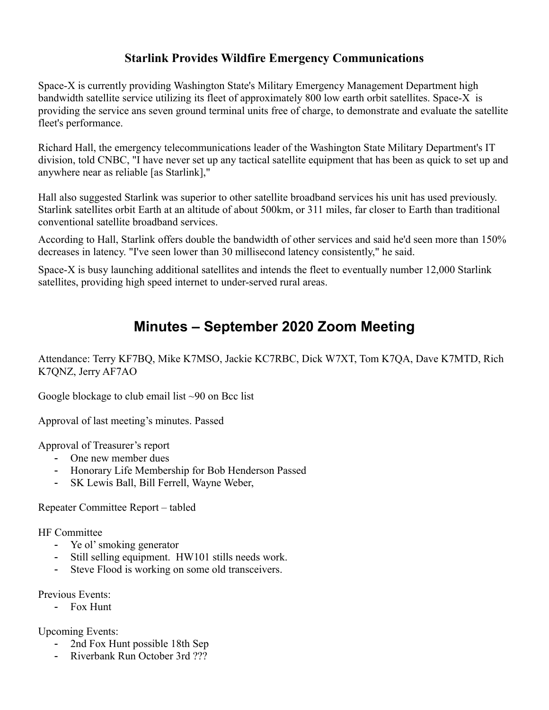### **Starlink Provides Wildfire Emergency Communications**

Space-X is currently providing Washington State's Military Emergency Management Department high bandwidth satellite service utilizing its fleet of approximately 800 low earth orbit satellites. Space-X is providing the service ans seven ground terminal units free of charge, to demonstrate and evaluate the satellite fleet's performance.

Richard Hall, the emergency telecommunications leader of the Washington State Military Department's IT division, told CNBC, "I have never set up any tactical satellite equipment that has been as quick to set up and anywhere near as reliable [as Starlink],"

Hall also suggested Starlink was superior to other satellite broadband services his unit has used previously. Starlink satellites orbit Earth at an altitude of about 500km, or 311 miles, far closer to Earth than traditional conventional satellite broadband services.

According to Hall, Starlink offers double the bandwidth of other services and said he'd seen more than 150% decreases in latency. "I've seen lower than 30 millisecond latency consistently," he said.

Space-X is busy launching additional satellites and intends the fleet to eventually number 12,000 Starlink satellites, providing high speed internet to under-served rural areas.

# **Minutes – September 2020 Zoom Meeting**

Attendance: Terry KF7BQ, Mike K7MSO, Jackie KC7RBC, Dick W7XT, Tom K7QA, Dave K7MTD, Rich K7QNZ, Jerry AF7AO

Google blockage to club email list ~90 on Bcc list

Approval of last meeting's minutes. Passed

Approval of Treasurer's report

- One new member dues
- Honorary Life Membership for Bob Henderson Passed
- SK Lewis Ball, Bill Ferrell, Wayne Weber,

Repeater Committee Report – tabled

HF Committee

- Ye ol' smoking generator
- Still selling equipment. HW101 stills needs work.
- Steve Flood is working on some old transceivers.

Previous Events:

- Fox Hunt

Upcoming Events:

- 2nd Fox Hunt possible 18th Sep
- Riverbank Run October 3rd ???